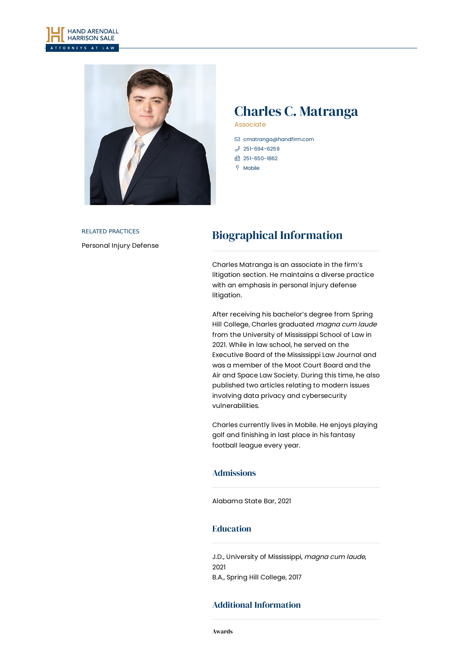



# Charles C. Matranga

Associate

- [cmatranga@handfirm.com](mailto:cmatranga@handfirm.com)  $$251-694-6259$  $$251-694-6259$
- 1 251-650-1862
- $9$  Mobile

## RELATED PRACTICES [Personal](https://www.handfirm.com/practices/litigation/personal-injury-defense/) Injury Defense

# Biographical Information

Charles Matranga is an associate in the firm's litigation section. He maintains a diverse practice with an emphasis in personal injury defense litigation.

After receiving his bachelor's degree from Spring Hill College, Charles graduated magna cum laude from the University of Mississippi School of Law in 2021. While in law school, he served on the Executive Board of the Mississippi Law Journal and was a member of the Moot Court Board and the Air and Space Law Society. During this time, he also published two articles relating to modern issues involving data privacy and cybersecurity vulnerabilities.

Charles currently lives in Mobile. He enjoys playing golf and finishing in last place in his fantasy football league every year.

#### Admissions

Alabama State Bar, 2021

#### Education

J.D., University of Mississippi, magna cum laude, 2021 B.A., Spring Hill College, 2017

### Additional Information